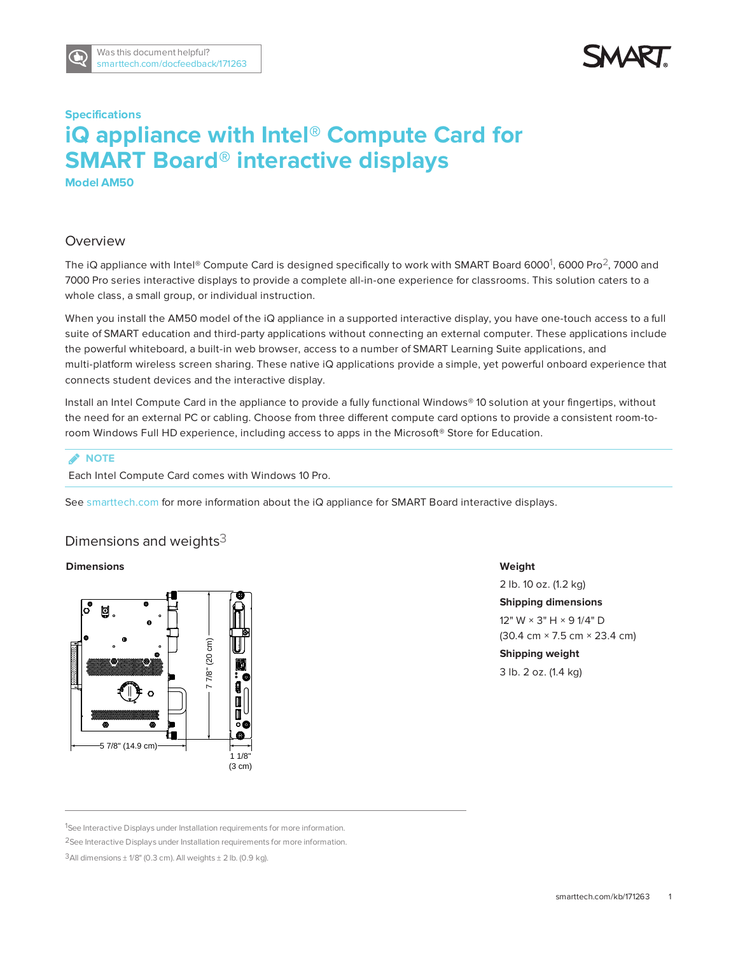



# **Specifications iQ appliance with Intel® Compute Card for SMART Board® interactive displays**

**Model AM50**

# Overview

The iQ appliance with Intel® Compute Card is designed specifically to work with SMART Board 6000<sup>1</sup>, 6000 Pro<sup>2</sup>, 7000 and 7000 Pro series interactive displays to provide a complete all-in-one experience for classrooms. This solution caters to a whole class, a small group, or individual instruction.

When you install the AM50 model of the iQ appliance in a supported interactive display, you have one-touch access to a full suite of SMART education and third-party applications without connecting an external computer. These applications include the powerful whiteboard, a built-in web browser, access to a number of SMART Learning Suite applications, and multi-platform wireless screen sharing. These native iQ applications provide a simple, yet powerful onboard experience that connects student devices and the interactive display.

Install an Intel Compute Card in the appliance to provide a fully functional Windows® 10 solution at your fingertips, without the need for an external PC or cabling. Choose from three different compute card options to provide a consistent room-toroom Windows Full HD experience, including access to apps in the Microsoft® Store for Education.

## **NOTE**

Each Intel Compute Card comes with Windows 10 Pro.

See [smarttech.com](http://www.smarttech.com/) for more information about the iQ appliance for SMART Board interactive displays.

## Dimensions and weights $3$

#### **Dimensions**



#### **Weight**

2 lb. 10 oz. (1.2 kg) **Shipping dimensions** 12" W × 3" H × 9 1/4" D (30.4 cm × 7.5 cm × 23.4 cm) **Shipping weight** 3 lb. 2 oz. (1.4 kg)

<sup>1</sup>See Interactive Displays under Installation requirements for more information.

<sup>2</sup>See Interactive Displays under Installation requirements for more information.

 $3$ All dimensions  $\pm$  1/8" (0.3 cm). All weights  $\pm$  2 lb. (0.9 kg).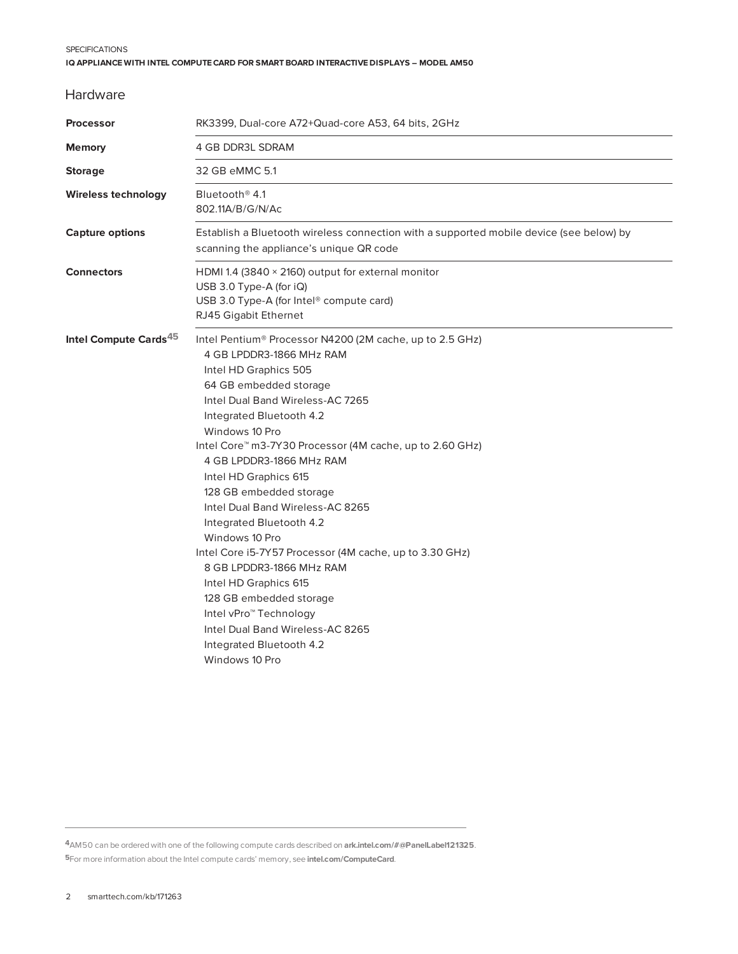#### **SPECIFICATIONS IQ APPLIANCE WITH INTEL COMPUTECARD FOR SMART BOARD INTERACTIVE DISPLAYS – MODEL AM50**

## Hardware

| <b>Processor</b>                  | RK3399, Dual-core A72+Quad-core A53, 64 bits, 2GHz                                                                                                                                                                                                                                                                                                                                                                                                                                                                                                                                                                                                                                                                                                 |
|-----------------------------------|----------------------------------------------------------------------------------------------------------------------------------------------------------------------------------------------------------------------------------------------------------------------------------------------------------------------------------------------------------------------------------------------------------------------------------------------------------------------------------------------------------------------------------------------------------------------------------------------------------------------------------------------------------------------------------------------------------------------------------------------------|
| <b>Memory</b>                     | 4 GB DDR3L SDRAM                                                                                                                                                                                                                                                                                                                                                                                                                                                                                                                                                                                                                                                                                                                                   |
| <b>Storage</b>                    | 32 GB eMMC 5.1                                                                                                                                                                                                                                                                                                                                                                                                                                                                                                                                                                                                                                                                                                                                     |
| <b>Wireless technology</b>        | Bluetooth <sup>®</sup> 4.1<br>802.11A/B/G/N/Ac                                                                                                                                                                                                                                                                                                                                                                                                                                                                                                                                                                                                                                                                                                     |
| <b>Capture options</b>            | Establish a Bluetooth wireless connection with a supported mobile device (see below) by<br>scanning the appliance's unique QR code                                                                                                                                                                                                                                                                                                                                                                                                                                                                                                                                                                                                                 |
| <b>Connectors</b>                 | HDMI 1.4 (3840 $\times$ 2160) output for external monitor<br>USB 3.0 Type-A (for $iQ$ )<br>USB 3.0 Type-A (for Intel <sup>®</sup> compute card)<br>RJ45 Gigabit Ethernet                                                                                                                                                                                                                                                                                                                                                                                                                                                                                                                                                                           |
| Intel Compute Cards <sup>45</sup> | Intel Pentium <sup>®</sup> Processor N4200 (2M cache, up to 2.5 GHz)<br>4 GB LPDDR3-1866 MHz RAM<br>Intel HD Graphics 505<br>64 GB embedded storage<br>Intel Dual Band Wireless-AC 7265<br>Integrated Bluetooth 4.2<br>Windows 10 Pro<br>Intel Core <sup>™</sup> m3-7Y30 Processor (4M cache, up to 2.60 GHz)<br>4 GB LPDDR3-1866 MHz RAM<br>Intel HD Graphics 615<br>128 GB embedded storage<br>Intel Dual Band Wireless-AC 8265<br>Integrated Bluetooth 4.2<br>Windows 10 Pro<br>Intel Core i5-7Y57 Processor (4M cache, up to 3.30 GHz)<br>8 GB LPDDR3-1866 MHz RAM<br>Intel HD Graphics 615<br>128 GB embedded storage<br>Intel vPro <sup>™</sup> Technology<br>Intel Dual Band Wireless-AC 8265<br>Integrated Bluetooth 4.2<br>Windows 10 Pro |

**4**AM50 can be ordered with one of the following compute cards described on **[ark.intel.com/#@PanelLabel121325](https://ark.intel.com/#@PanelLabel121325)**. **5**For more information about the Intel compute cards' memory, see **[intel.com/ComputeCard](http://www.intel.com/ComputeCard)**.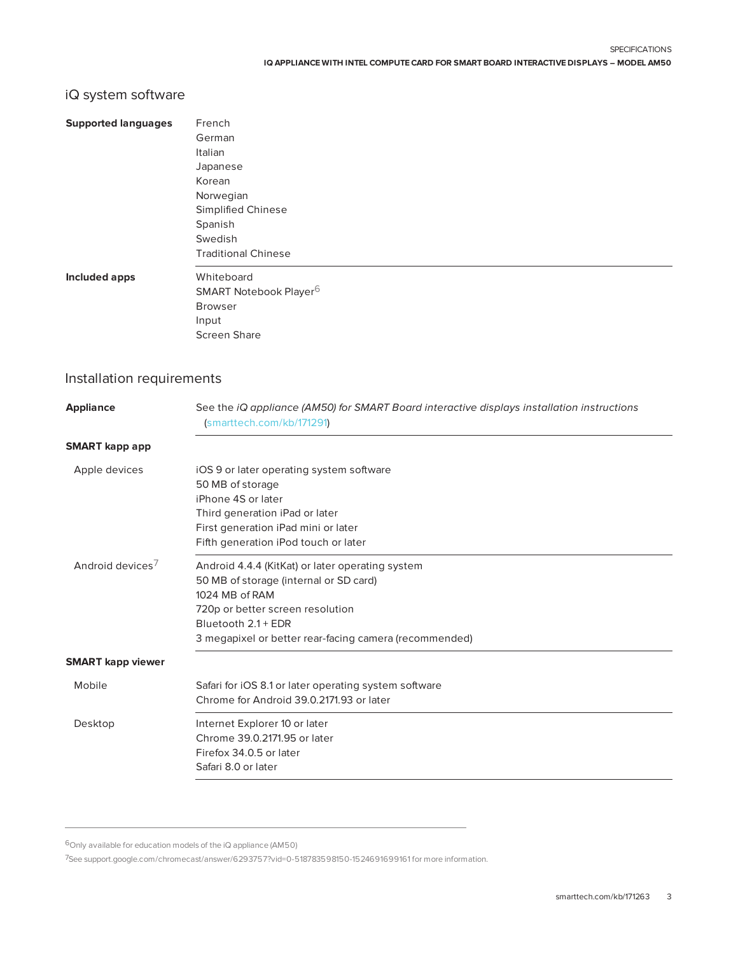# iQ system software

| <b>Supported languages</b> | French                                                                                                                  |
|----------------------------|-------------------------------------------------------------------------------------------------------------------------|
|                            | German                                                                                                                  |
|                            | Italian                                                                                                                 |
|                            | Japanese                                                                                                                |
|                            | Korean                                                                                                                  |
|                            | Norwegian                                                                                                               |
|                            | Simplified Chinese                                                                                                      |
|                            | Spanish                                                                                                                 |
|                            | Swedish                                                                                                                 |
|                            | <b>Traditional Chinese</b>                                                                                              |
| Included apps              | Whiteboard                                                                                                              |
|                            | SMART Notebook Player <sup>6</sup>                                                                                      |
|                            | <b>Browser</b>                                                                                                          |
|                            | Input                                                                                                                   |
|                            | <b>Screen Share</b>                                                                                                     |
| Installation requirements  |                                                                                                                         |
| <b>Appliance</b>           | See the iQ appliance (AM50) for SMART Board interactive displays installation instructions<br>(smarttech.com/kb/171291) |
| <b>SMART</b> kapp app      |                                                                                                                         |
| Apple devices              | iOS 9 or later operating system software                                                                                |
|                            | 50 MB of storage                                                                                                        |
|                            | iPhone 4S or later                                                                                                      |
|                            | Third generation iPad or later                                                                                          |
|                            | First generation iPad mini or later                                                                                     |
|                            | Fifth generation iPod touch or later                                                                                    |
| $\overline{\phantom{0}}$   |                                                                                                                         |

| Android devices $^\prime$ | Android 4.4.4 (KitKat) or later operating system       |
|---------------------------|--------------------------------------------------------|
|                           | 50 MB of storage (internal or SD card)                 |
|                           | 1024 MB of RAM                                         |
|                           | 720p or better screen resolution                       |
|                           | Bluetooth 2.1 + EDR                                    |
|                           | 3 megapixel or better rear-facing camera (recommended) |
|                           |                                                        |

### **SMART kapp viewer**

| Mobile  | Safari for iOS 8.1 or later operating system software<br>Chrome for Android 39.0.2171.93 or later               |
|---------|-----------------------------------------------------------------------------------------------------------------|
| Desktop | Internet Explorer 10 or later<br>Chrome 39.0.2171.95 or later<br>Firefox 34.0.5 or later<br>Safari 8.0 or later |

6Only available for education models of the iQ appliance (AM50)

7See [support.google.com/chromecast/answer/6293757?vid=0-518783598150-1524691699161](https://support.google.com/chromecast/answer/6293757?vid=0-518783598150-1524691699161) for more information.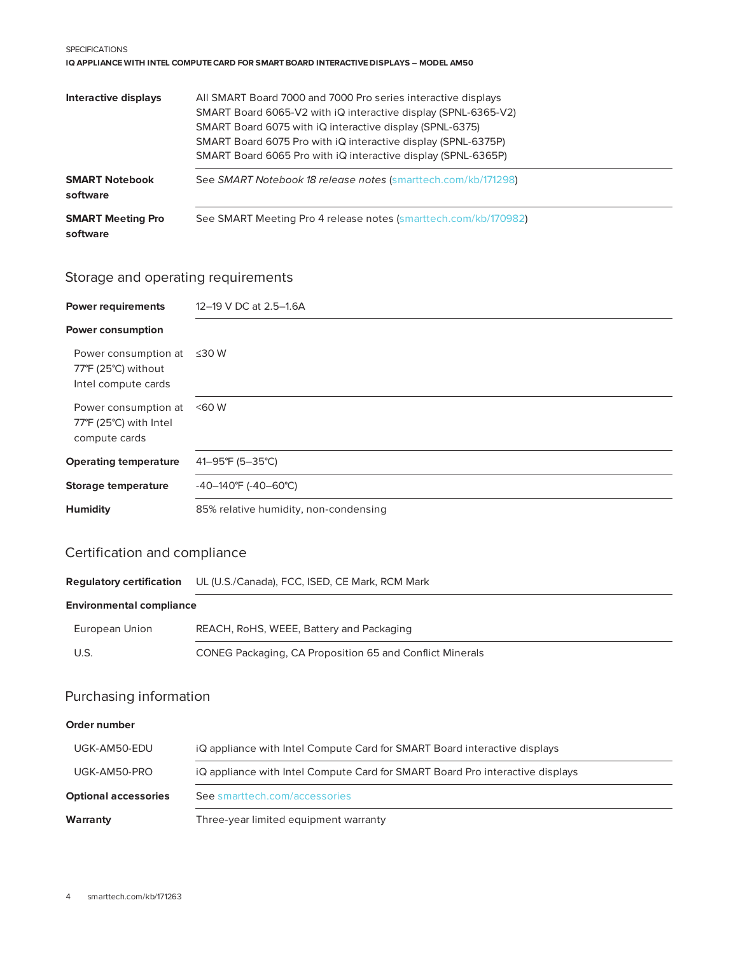#### **SPECIFICATIONS IQ APPLIANCE WITH INTEL COMPUTECARD FOR SMART BOARD INTERACTIVE DISPLAYS – MODEL AM50**

| Interactive displays                 | All SMART Board 7000 and 7000 Pro series interactive displays<br>SMART Board 6065-V2 with iQ interactive display (SPNL-6365-V2) |
|--------------------------------------|---------------------------------------------------------------------------------------------------------------------------------|
|                                      | SMART Board 6075 with iQ interactive display (SPNL-6375)                                                                        |
|                                      | SMART Board 6075 Pro with iQ interactive display (SPNL-6375P)                                                                   |
|                                      | SMART Board 6065 Pro with iQ interactive display (SPNL-6365P)                                                                   |
| <b>SMART Notebook</b>                | See SMART Notebook 18 release notes (smarttech.com/kb/171298)                                                                   |
| software                             |                                                                                                                                 |
| <b>SMART Meeting Pro</b><br>software | See SMART Meeting Pro 4 release notes (smarttech.com/kb/170982)                                                                 |

# Storage and operating requirements

| <b>Power requirements</b>                                          | 12-19 V DC at 2.5-1.6A                |
|--------------------------------------------------------------------|---------------------------------------|
| <b>Power consumption</b>                                           |                                       |
| Power consumption at<br>77°F (25°C) without<br>Intel compute cards | ≤30 W                                 |
| Power consumption at<br>77°F (25°C) with Intel<br>compute cards    | $<$ 60 W                              |
| <b>Operating temperature</b>                                       | 41-95°F (5-35°C)                      |
| Storage temperature                                                | -40-140°F (-40-60°C)                  |
| <b>Humidity</b>                                                    | 85% relative humidity, non-condensing |

# Certification and compliance

| <b>Regulatory certification</b> | UL (U.S./Canada), FCC, ISED, CE Mark, RCM Mark                                |
|---------------------------------|-------------------------------------------------------------------------------|
| <b>Environmental compliance</b> |                                                                               |
| European Union                  | REACH, RoHS, WEEE, Battery and Packaging                                      |
| U.S.                            | <b>CONEG Packaging, CA Proposition 65 and Conflict Minerals</b>               |
| Purchasing information          |                                                                               |
| Order number                    |                                                                               |
| UGK-AM50-EDU                    | iQ appliance with Intel Compute Card for SMART Board interactive displays     |
| UGK-AM50-PRO                    | iQ appliance with Intel Compute Card for SMART Board Pro interactive displays |

**Optional accessories** See [smarttech.com/accessories](http://www.smarttech.com/accessories)

**Warranty** Three-year limited equipment warranty